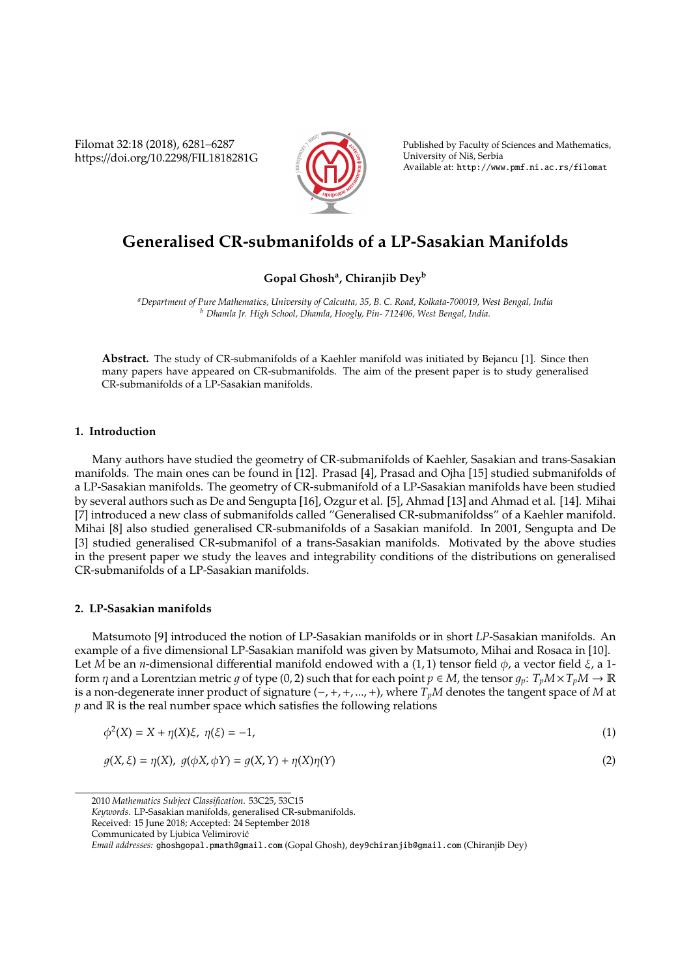Filomat 32:18 (2018), 6281–6287 https://doi.org/10.2298/FIL1818281G



Published by Faculty of Sciences and Mathematics, University of Nis, Serbia ˇ Available at: http://www.pmf.ni.ac.rs/filomat

# **Generalised CR-submanifolds of a LP-Sasakian Manifolds**

## **Gopal Ghosh<sup>a</sup> , Chiranjib Dey<sup>b</sup>**

*<sup>a</sup>Department of Pure Mathematics, University of Calcutta, 35, B. C. Road, Kolkata-700019, West Bengal, India <sup>b</sup> Dhamla Jr. High School, Dhamla, Hoogly, Pin- 712406, West Bengal, India.*

**Abstract.** The study of CR-submanifolds of a Kaehler manifold was initiated by Bejancu [1]. Since then many papers have appeared on CR-submanifolds. The aim of the present paper is to study generalised CR-submanifolds of a LP-Sasakian manifolds.

### **1. Introduction**

Many authors have studied the geometry of CR-submanifolds of Kaehler, Sasakian and trans-Sasakian manifolds. The main ones can be found in [12]. Prasad [4], Prasad and Ojha [15] studied submanifolds of a LP-Sasakian manifolds. The geometry of CR-submanifold of a LP-Sasakian manifolds have been studied by several authors such as De and Sengupta [16], Ozgur et al. [5], Ahmad [13] and Ahmad et al. [14]. Mihai [7] introduced a new class of submanifolds called "Generalised CR-submanifoldss" of a Kaehler manifold. Mihai [8] also studied generalised CR-submanifolds of a Sasakian manifold. In 2001, Sengupta and De [3] studied generalised CR-submanifol of a trans-Sasakian manifolds. Motivated by the above studies in the present paper we study the leaves and integrability conditions of the distributions on generalised CR-submanifolds of a LP-Sasakian manifolds.

#### **2. LP-Sasakian manifolds**

Matsumoto [9] introduced the notion of LP-Sasakian manifolds or in short *LP*-Sasakian manifolds. An example of a five dimensional LP-Sasakian manifold was given by Matsumoto, Mihai and Rosaca in [10]. Let *M* be an *n*-dimensional differential manifold endowed with a (1, 1) tensor field  $\phi$ , a vector field  $\xi$ , a 1form  $\eta$  and a Lorentzian metric  $g$  of type (0, 2) such that for each point  $p \in M$ , the tensor  $g_p: T_p M \times T_p M \to \mathbb{R}$ is a non-degenerate inner product of signature (−,+,+, ...,+), where *TpM* denotes the tangent space of *M* at *p* and R is the real number space which satisfies the following relations

$$
\phi^{2}(X) = X + \eta(X)\xi, \ \eta(\xi) = -1,
$$
\n(1)

$$
g(X,\xi) = \eta(X), \ g(\phi X, \phi Y) = g(X,Y) + \eta(X)\eta(Y)
$$
\n(2)

<sup>2010</sup> *Mathematics Subject Classification*. 53C25, 53C15

*Keywords*. LP-Sasakian manifolds, generalised CR-submanifolds.

Received: 15 June 2018; Accepted: 24 September 2018

Communicated by Ljubica Velimirovic´

*Email addresses:* ghoshgopal.pmath@gmail.com (Gopal Ghosh), dey9chiranjib@gmail.com (Chiranjib Dey)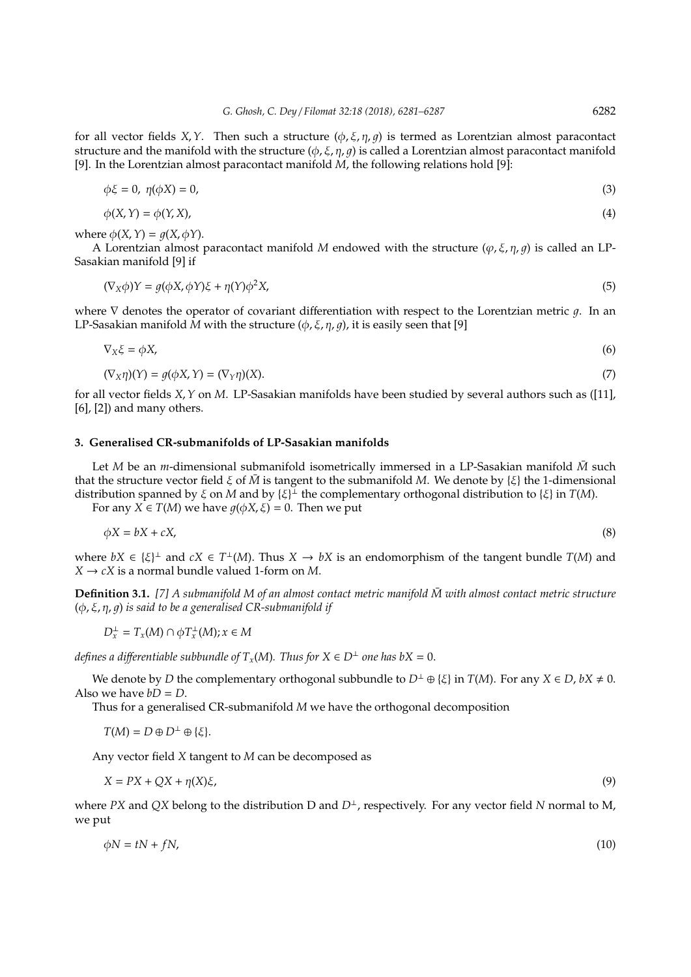for all vector fields *X*,*Y*. Then such a structure  $(\phi, \xi, \eta, q)$  is termed as Lorentzian almost paracontact structure and the manifold with the structure  $(\phi, \xi, \eta, q)$  is called a Lorentzian almost paracontact manifold [9]. In the Lorentzian almost paracontact manifold *M*, the following relations hold [9]:

$$
\phi \xi = 0, \ \eta(\phi X) = 0,\tag{3}
$$

$$
\phi(X, Y) = \phi(Y, X),\tag{4}
$$

where  $\phi(X, Y) = q(X, \phi Y)$ .

A Lorentzian almost paracontact manifold *M* endowed with the structure ( $\varphi$ ,  $\xi$ ,  $\eta$ ,  $\varphi$ ) is called an LP-Sasakian manifold [9] if

$$
(\nabla_X \phi)Y = g(\phi X, \phi Y)\xi + \eta(Y)\phi^2 X,\tag{5}
$$

where  $\nabla$  denotes the operator of covariant differentiation with respect to the Lorentzian metric q. In an LP-Sasakian manifold *M* with the structure  $(\phi, \xi, \eta, q)$ , it is easily seen that [9]

$$
\nabla_X \xi = \phi X,\tag{6}
$$

$$
(\nabla_X \eta)(Y) = g(\phi X, Y) = (\nabla_Y \eta)(X). \tag{7}
$$

for all vector fields *X*, *Y* on *M*. LP-Sasakian manifolds have been studied by several authors such as ([11], [6], [2]) and many others.

#### **3. Generalised CR-submanifolds of LP-Sasakian manifolds**

Let *M* be an *m*-dimensional submanifold isometrically immersed in a LP-Sasakian manifold *M* such that the structure vector field  $\xi$  of  $\bar{M}$  is tangent to the submanifold *M*. We denote by  $\{\xi\}$  the 1-dimensional distribution spanned by ξ on *M* and by {ξ} <sup>⊥</sup> the complementary orthogonal distribution to {ξ} in *T*(*M*).

For any *X*  $\in T(M)$  we have  $q(\phi X, \xi) = 0$ . Then we put

$$
\phi X = bX + cX,\tag{8}
$$

where  $bX \in \{\xi\}^{\perp}$  and  $cX \in T^{\perp}(M)$ . Thus  $X \to bX$  is an endomorphism of the tangent bundle  $T(M)$  and  $X \rightarrow cX$  is a normal bundle valued 1-form on *M*.

**Definition 3.1.** [7] A submanifold M of an almost contact metric manifold  $\bar{M}$  with almost contact metric structure (φ, ξ, η, 1) *is said to be a generalised CR-submanifold if*

$$
D_x^\perp=T_x(M)\cap \phi T_x^\perp(M); x\in M
$$

*defines a differentiable subbundle of*  $T<sub>x</sub>(M)$ *. Thus for*  $X \in D^{\perp}$  *one has*  $bX = 0$ *.* 

We denote by *D* the complementary orthogonal subbundle to  $D^{\perp} \oplus \{\xi\}$  in  $T(M)$ . For any  $X \in D$ ,  $bX \neq 0$ . Also we have  $bD = D$ .

Thus for a generalised CR-submanifold *M* we have the orthogonal decomposition

 $T(M) = D \oplus D^{\perp} \oplus {\{\xi\}}.$ 

Any vector field *X* tangent to *M* can be decomposed as

$$
X = PX + QX + \eta(X)\xi,\tag{9}
$$

where *PX* and *QX* belong to the distribution D and  $D^{\perp}$ , respectively. For any vector field *N* normal to M, we put

$$
\phi N = tN + fN,\tag{10}
$$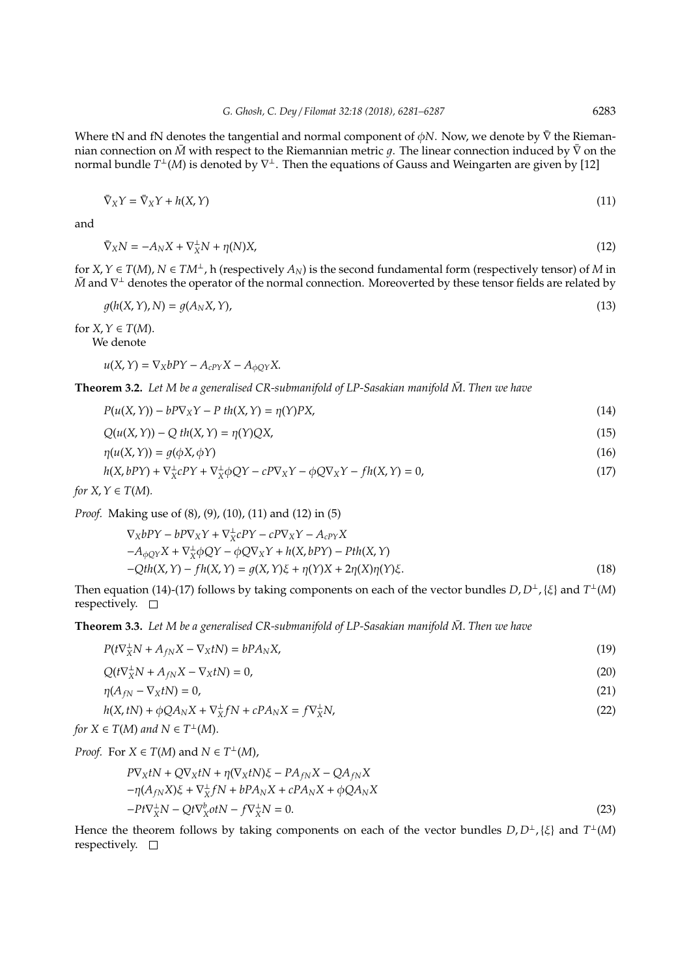Where tN and fN denotes the tangential and normal component of  $\phi$ N. Now, we denote by  $\bar{\nabla}$  the Riemannian connection on *M* with respect to the Riemannian metric *q*. The linear connection induced by  $\bar{\nabla}$  on the normal bundle *T*<sup>⊥</sup>(M) is denoted by  $\nabla$ <sup>⊥</sup>. Then the equations of Gauss and Weingarten are given by [12]

$$
\bar{\nabla}_X Y = \bar{\nabla}_X Y + h(X, Y) \tag{11}
$$

and

$$
\bar{\nabla}_X N = -A_N X + \nabla_X^{\perp} N + \eta(N) X,\tag{12}
$$

for  $X, Y \in T(M)$ ,  $N \in TM^{\perp}$ , h (respectively  $A_N$ ) is the second fundamental form (respectively tensor) of *M* in *M* and  $\nabla$ <sup>⊥</sup> denotes the operator of the normal connection. Moreoverted by these tensor fields are related by

$$
g(h(X, Y), N) = g(A_N X, Y),
$$
\n<sup>(13)</sup>

for  $X, Y \in T(M)$ . We denote

 $u(X, Y) = \nabla_X bPY - A_{cPY}X - A_{\phi OY}X$ .

**Theorem 3.2.** Let M be a generalised CR-submanifold of LP-Sasakian manifold  $\bar{M}$ . Then we have

$$
P(u(X, Y)) - bP\nabla_X Y - P \th(X, Y) = \eta(Y)PX,
$$
\n(14)

$$
Q(u(X,Y)) - Qth(X,Y) = \eta(Y)QX,
$$
\n(15)

$$
\eta(u(X,Y)) = g(\phi X, \phi Y) \tag{16}
$$

$$
h(X, bPY) + \nabla_X^{\perp}cPY + \nabla_X^{\perp}\phi QY - cP\nabla_XY - \phi Q\nabla_XY - fh(X, Y) = 0,
$$
\n(17)

*for*  $X, Y \in T(M)$ *.* 

*Proof.* Making use of (8), (9), (10), (11) and (12) in (5)

$$
\nabla_X bPY - bP\nabla_X Y + \nabla_X^{\perp} cPY - cP\nabla_X Y - A_{cPY}X \n-A_{\phi QY}X + \nabla_X^{\perp} \phi QY - \phi Q\nabla_X Y + h(X, bPY) - Pth(X, Y) \n-Qth(X, Y) - fh(X, Y) = g(X, Y)\xi + \eta(Y)X + 2\eta(X)\eta(Y)\xi.
$$
\n(18)

Then equation (14)-(17) follows by taking components on each of the vector bundles  $D, D^{\perp}, \{\xi\}$  and  $T^{\perp}(M)$ respectively.  $\square$ 

**Theorem 3.3.** Let M be a generalised CR-submanifold of LP-Sasakian manifold  $\bar{M}$ . Then we have

$$
P(t\nabla_X^{\perp}N + A_{fN}X - \nabla_X tN) = bPA_NX,\tag{19}
$$

$$
Q(t\nabla_X^{\perp}N + A_{fN}X - \nabla_X tN) = 0,\tag{20}
$$

$$
\eta(A_{fN} - \nabla_X tN) = 0,\tag{21}
$$

$$
h(X, tN) + \phi Q A_N X + \nabla_X^{\perp} f N + c P A_N X = f \nabla_X^{\perp} N,
$$
\n(22)

*for*  $X \in T(M)$  *and*  $N \in T^{\perp}(M)$ .

*Proof.* For *X*  $\in T(M)$  and *N*  $\in T^{\perp}(M)$ ,

$$
P\nabla_X tN + Q\nabla_X tN + \eta(\nabla_X tN)\xi - PA_{fN}X - QA_{fN}X
$$
  
- $\eta(A_{fN}X)\xi + \nabla_X^{\perp}fN + bPA_NX + cPA_NX + \phi QA_NX$   
- $Pt\nabla_X^{\perp}N - Qt\nabla_X^{\perp}otN - f\nabla_X^{\perp}N = 0.$  (23)

Hence the theorem follows by taking components on each of the vector bundles  $D, D^{\perp}, \{\xi\}$  and  $T^{\perp}(M)$ respectively.  $\square$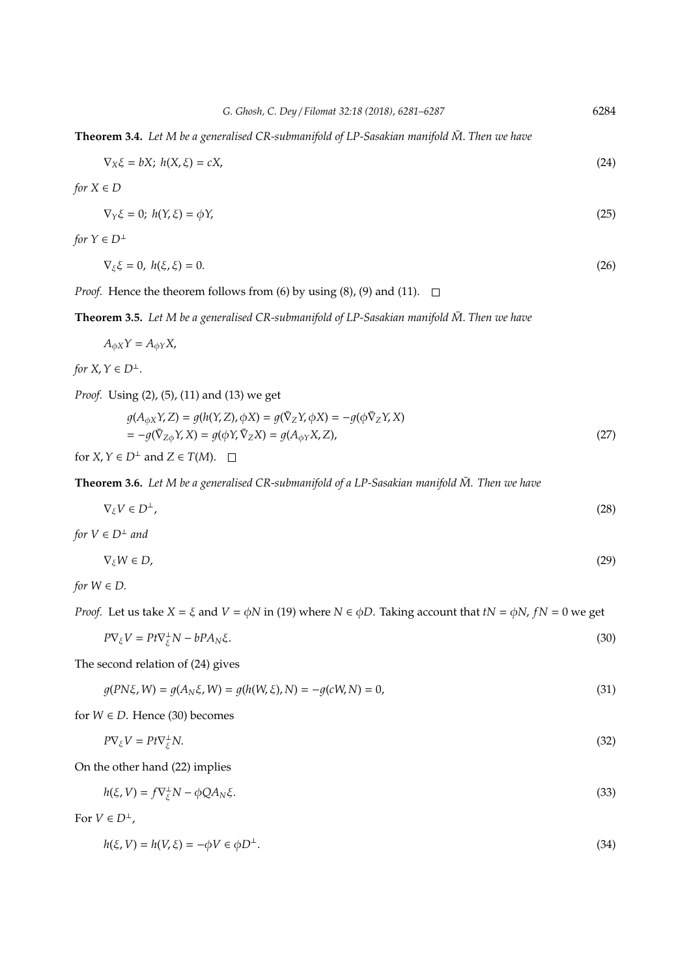|  |  | G. Ghosh, C. Dey / Filomat 32:18 (2018), 6281–6287 | 6284 |
|--|--|----------------------------------------------------|------|
|--|--|----------------------------------------------------|------|

$$
\nabla_X \xi = bX; \ h(X, \xi) = cX,\tag{24}
$$

*for*  $X \in D$ 

$$
\nabla_Y \xi = 0; \ h(Y, \xi) = \phi Y,\tag{25}
$$

*for*  $Y \in D^{\perp}$ 

$$
\nabla_{\xi}\xi = 0, \; h(\xi, \xi) = 0. \tag{26}
$$

*Proof.* Hence the theorem follows from (6) by using (8), (9) and (11).  $\square$ 

**Theorem 3.5.** Let M be a generalised CR-submanifold of LP-Sasakian manifold  $\bar{M}$ . Then we have

 $A_{\phi X}Y = A_{\phi Y}X$ ,

*for*  $X, Y \in D^{\perp}$ *.* 

*Proof.* Using (2), (5), (11) and (13) we get

$$
g(A_{\phi X}Y, Z) = g(h(Y, Z), \phi X) = g(\overline{\nabla}_Z Y, \phi X) = -g(\phi \overline{\nabla}_Z Y, X)
$$
  
= 
$$
-g(\overline{\nabla}_Z \phi Y, X) = g(\phi Y, \overline{\nabla}_Z X) = g(A_{\phi Y} X, Z),
$$
 (27)

for  $X, Y \in D^{\perp}$  and  $Z \in T(M)$ .  $\square$ 

**Theorem 3.6.** Let M be a generalised CR-submanifold of a LP-Sasakian manifold  $\bar{M}$ . Then we have

$$
\nabla_{\xi} V \in D^{\perp},\tag{28}
$$

*for*  $V \in D^{\perp}$  *and* 

$$
\nabla_{\xi} W \in D, \tag{29}
$$

*for*  $W \in D$ *.* 

*Proof.* Let us take  $X = \xi$  and  $V = \phi N$  in (19) where  $N \in \phi D$ . Taking account that  $tN = \phi N$ ,  $fN = 0$  we get

$$
P\nabla_{\xi}V = Pt\nabla_{\xi}^{\perp}N - bPA_N\xi.
$$
\n(30)

The second relation of (24) gives

$$
g(PN\xi, W) = g(A_N\xi, W) = g(h(W, \xi), N) = -g(cW, N) = 0,
$$
\n(31)

for  $W \in D$ . Hence (30) becomes

$$
P\nabla_{\xi}V = Pt\nabla_{\xi}^{\perp}N.\tag{32}
$$

On the other hand (22) implies

$$
h(\xi, V) = f \nabla_{\xi}^{\perp} N - \phi Q A_N \xi. \tag{33}
$$

For  $V \in D^{\perp}$ ,

$$
h(\xi, V) = h(V, \xi) = -\phi V \in \phi D^{\perp}.
$$
\n(34)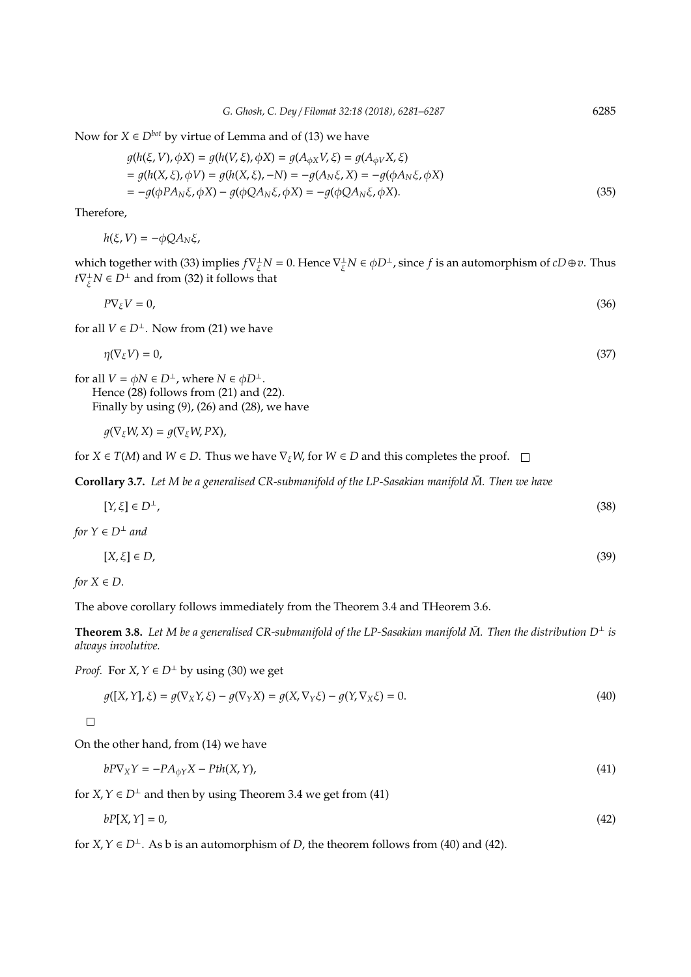Now for  $X \in D^{bot}$  by virtue of Lemma and of (13) we have

$$
g(h(\xi, V), \phi X) = g(h(V, \xi), \phi X) = g(A_{\phi X} V, \xi) = g(A_{\phi V} X, \xi)
$$
  
=  $g(h(X, \xi), \phi V) = g(h(X, \xi), -N) = -g(A_N \xi, X) = -g(\phi A_N \xi, \phi X)$   
=  $-g(\phi P A_N \xi, \phi X) - g(\phi Q A_N \xi, \phi X) = -g(\phi Q A_N \xi, \phi X).$  (35)

Therefore,

$$
h(\xi, V) = -\phi Q A_N \xi,
$$

which together with (33) implies  $f \nabla_{\xi}^{\perp} N = 0$ . Hence  $\nabla_{\xi}^{\perp} N \in \phi D^{\perp}$ , since  $f$  is an automorphism of  $cD \oplus v$ . Thus  $t\nabla_{\xi}^{\perp}N \in D^{\perp}$  and from (32) it follows that

$$
P\nabla_{\xi}V=0,\tag{36}
$$

for all  $V \in D^{\perp}$ . Now from (21) we have

$$
\eta(\nabla_{\xi}V)=0,\tag{37}
$$

for all  $V = \phi N \in D^{\perp}$ , where  $N \in \phi D^{\perp}$ .

Hence (28) follows from (21) and (22). Finally by using (9), (26) and (28), we have

$$
g(\nabla_{\xi}W,X)=g(\nabla_{\xi}W,PX),
$$

for *X*  $\in$  *T*(*M*) and *W*  $\in$  *D*. Thus we have  $\nabla$ <sub> $\xi$ *</sub>W*, for *W*  $\in$  *D* and this completes the proof.  $\square$ </sub>

**Corollary 3.7.** Let M be a generalised CR-submanifold of the LP-Sasakian manifold  $\bar{M}$ . Then we have

$$
[Y,\xi] \in D^{\perp},\tag{38}
$$

*for*  $Y \in D^{\perp}$  *and* 

$$
[X,\xi]\in D,\tag{39}
$$

*for*  $X \in D$ *.* 

The above corollary follows immediately from the Theorem 3.4 and THeorem 3.6.

**Theorem 3.8.** Let M be a generalised CR-submanifold of the LP-Sasakian manifold  $\bar{M}$ . Then the distribution  $D^{\perp}$  is *always involutive.*

*Proof.* For *X*,  $Y \in D^{\perp}$  by using (30) we get

$$
g([X,Y],\xi) = g(\nabla_X Y, \xi) - g(\nabla_Y X) = g(X, \nabla_Y \xi) - g(Y, \nabla_X \xi) = 0.
$$
\n
$$
(40)
$$

 $\Box$ 

On the other hand, from (14) we have

$$
bP\nabla_X Y = -PA_{\phi Y} X - Pth(X, Y),\tag{41}
$$

for *X*,  $Y \in D^{\perp}$  and then by using Theorem 3.4 we get from (41)

$$
bP[X,Y] = 0,\tag{42}
$$

for *X*,  $Y \in D^{\perp}$ . As b is an automorphism of *D*, the theorem follows from (40) and (42).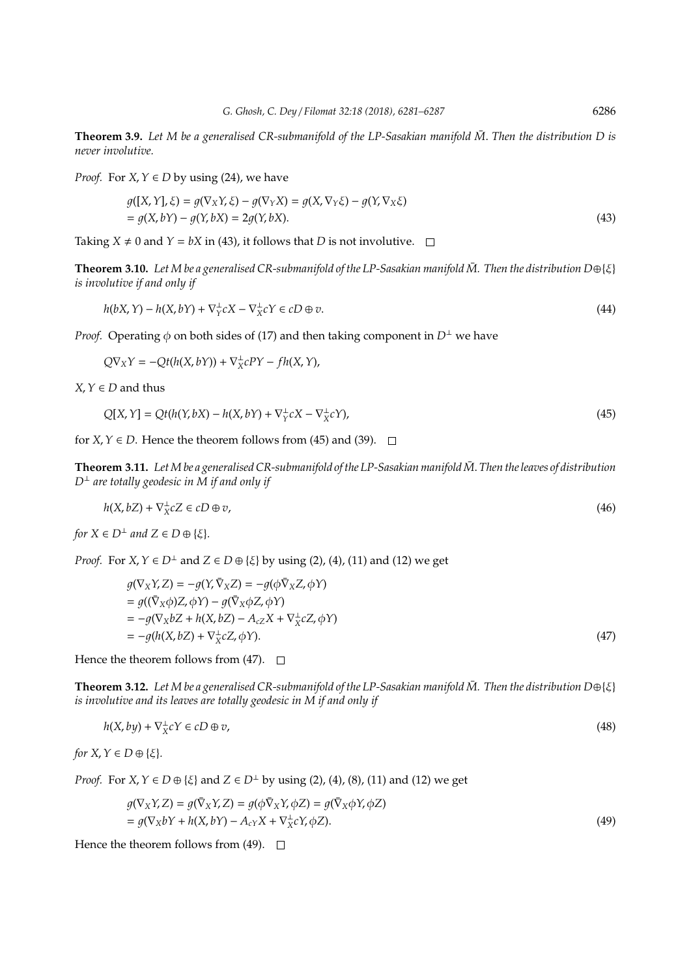**Theorem 3.9.** Let M be a generalised CR-submanifold of the LP-Sasakian manifold  $\bar{M}$ . Then the distribution D is *never involutive.*

*Proof.* For *X*,  $Y \in D$  by using (24), we have

$$
g([X,Y],\xi) = g(\nabla_X Y, \xi) - g(\nabla_Y X) = g(X, \nabla_Y \xi) - g(Y, \nabla_X \xi)
$$
  
=  $g(X, bY) - g(Y, bX) = 2g(Y, bX).$  (43)

Taking  $X \neq 0$  and  $Y = bX$  in (43), it follows that *D* is not involutive.  $\Box$ 

**Theorem 3.10.** Let M be a generalised CR-submanifold of the LP-Sasakian manifold  $\bar{M}$ . Then the distribution  $D \oplus \{\xi\}$ *is involutive if and only if*

$$
h(bX,Y) - h(X,bY) + \nabla_Y^{\perp} cX - \nabla_X^{\perp} cY \in cD \oplus v.
$$
\n
$$
(44)
$$

*Proof.* Operating  $\phi$  on both sides of (17) and then taking component in  $D^{\perp}$  we have

 $Q\nabla_X Y = -Qt(h(X, bY)) + \nabla_X^{\perp}$ *X cPY* − *f h*(*X*,*Y*),

 $X, Y \in D$  and thus

$$
Q[X,Y] = Qt(h(Y,bX) - h(X,bY) + \nabla_Y^{\perp} cX - \nabla_X^{\perp} cY),
$$
\n(45)

for *X*,  $Y \in D$ . Hence the theorem follows from (45) and (39).  $\Box$ 

**Theorem 3.11.** Let M be a generalised CR-submanifold of the LP-Sasakian manifold  $\bar{M}$ . Then the leaves of distribution *D*<sup>⊥</sup> *are totally geodesic in M if and only if*

$$
h(X, bZ) + \nabla_X^{\perp} cZ \in cD \oplus v,\tag{46}
$$

*for*  $X \in D^{\perp}$  *and*  $Z \in D \oplus \{\xi\}.$ 

*Proof.* For *X*,  $Y \in D^{\perp}$  and  $Z \in D \oplus \{\xi\}$  by using (2), (4), (11) and (12) we get

$$
g(\nabla_X Y, Z) = -g(Y, \bar{\nabla}_X Z) = -g(\phi \bar{\nabla}_X Z, \phi Y)
$$
  
=  $g((\bar{\nabla}_X \phi)Z, \phi Y) - g(\bar{\nabla}_X \phi Z, \phi Y)$   
=  $-g(\nabla_X bZ + h(X, bZ) - A_{cZ}X + \nabla^{\perp}_X cZ, \phi Y)$   
=  $-g(h(X, bZ) + \nabla^{\perp}_X cZ, \phi Y).$  (47)

Hence the theorem follows from (47).  $\Box$ 

**Theorem 3.12.** Let M be a generalised CR-submanifold of the LP-Sasakian manifold  $\bar{M}$ . Then the distribution D $\oplus$ {ξ} *is involutive and its leaves are totally geodesic in M if and only if*

$$
h(X, by) + \nabla_X^{\perp} cY \in cD \oplus v,\tag{48}
$$

*for*  $X, Y \in D \oplus \{\xi\}.$ 

*Proof.* For *X*, *Y* ∈ *D* ⊕ {*ξ*} and *Z* ∈ *D*<sup>⊥</sup> by using (2), (4), (8), (11) and (12) we get

$$
g(\nabla_X Y, Z) = g(\bar{\nabla}_X Y, Z) = g(\phi \bar{\nabla}_X Y, \phi Z) = g(\bar{\nabla}_X \phi Y, \phi Z)
$$
  
=  $g(\nabla_X bY + h(X, bY) - A_{cY}X + \nabla_X^{\perp} cY, \phi Z).$  (49)

Hence the theorem follows from (49).  $\Box$